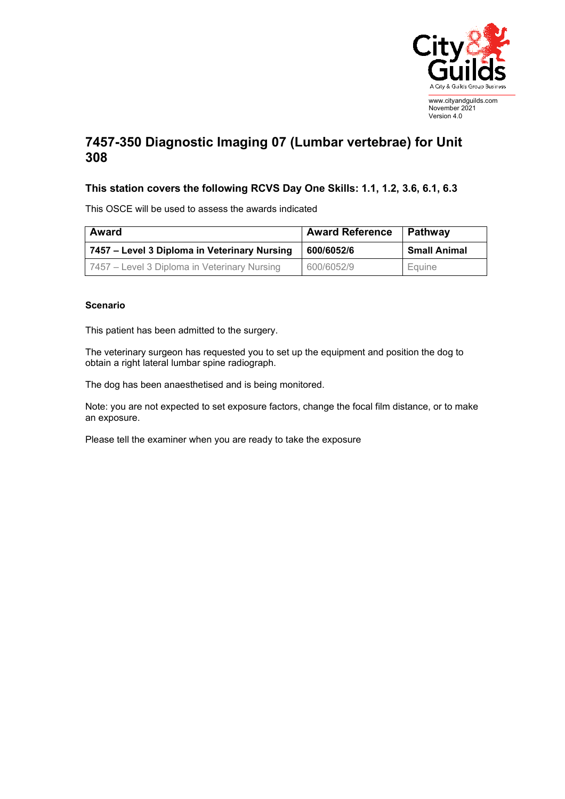

## **7457-350 Diagnostic Imaging 07 (Lumbar vertebrae) for Unit 308**

## **This station covers the following RCVS Day One Skills: 1.1, 1.2, 3.6, 6.1, 6.3**

This OSCE will be used to assess the awards indicated

| <b>Award</b>                                 | <b>Award Reference</b> | Pathway             |
|----------------------------------------------|------------------------|---------------------|
| 7457 – Level 3 Diploma in Veterinary Nursing | 600/6052/6             | <b>Small Animal</b> |
| 7457 – Level 3 Diploma in Veterinary Nursing | 600/6052/9             | Equine              |

## **Scenario**

This patient has been admitted to the surgery.

The veterinary surgeon has requested you to set up the equipment and position the dog to obtain a right lateral lumbar spine radiograph.

The dog has been anaesthetised and is being monitored.

Note: you are not expected to set exposure factors, change the focal film distance, or to make an exposure.

Please tell the examiner when you are ready to take the exposure